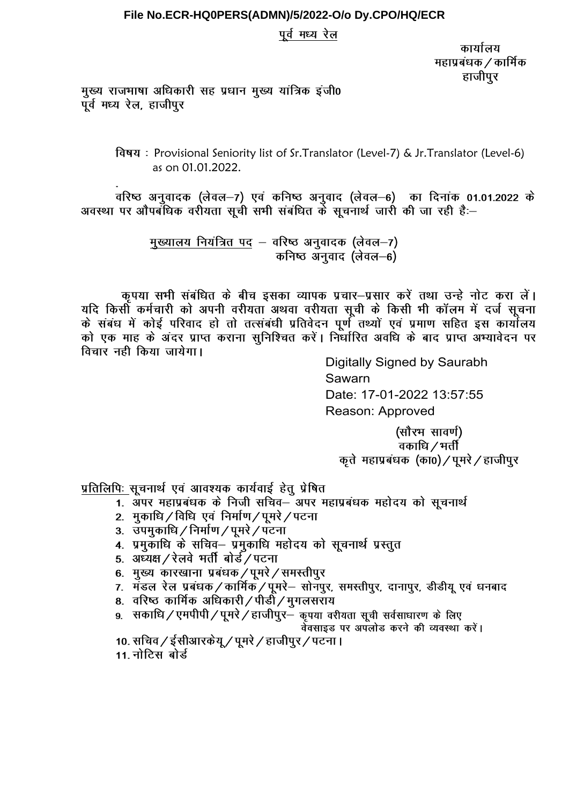## File No.ECR-HQ0PERS(ADMN)/5/2022-O/o Dy.CPO/HQ/ECR

## पूर्व मध्य रेल

कार्यालय महाप्रबंधक / कार्मिक हाजीपुर

मुख्य राजभाषा अधिकारी सह प्रधान मुख्य यांत्रिक इंजी0 पूर्व मध्य रेल, हाजीपुर

> विषय: Provisional Seniority list of Sr.Translator (Level-7) & Jr.Translator (Level-6) as on 01.01.2022.

वरिष्ठ अनुवादक (लेवल–7) एवं कनिष्ठ अनुवाद (लेवल–6) का दिनांक 01.01.2022 के अवस्था पर औपबंधिक वरीयता सूची सभी संबंधित के सूचनार्थ जारी की जा रही है:-

> मुख्यालय नियंत्रित पद - वरिष्ठ अनुवादक (लेवल-7) कनिष्ठ अनवाद (लेवल–6)

कृपया सभी संबंधित के बीच इसका व्यापक प्रचार-प्रसार करें तथा उन्हे नोट करा लें। यदि किसी कर्मचारी को अपनी वरीयता अथवा वरीयता सूची के किसी भी कॉलम में दर्ज सूचना के संबंध में कोई परिवाद हो तो तत्संबंधी प्रतिवेदन पूर्ण तथ्यों एवं प्रमाण सहित इस कार्यालय को एक माह के अंदर प्राप्त कराना सुनिश्चित करें। निर्धारित अवधि के बाद प्राप्त अभ्यावेदन पर विचार नही किया जायेगा।

Digitally Signed by Saurabh Sawarn Date: 17-01-2022 13:57:55 Reason: Approved

(सौरभ सावर्ण) .<br>वकाधि */* भर्ती कृते महाप्रबंधक (का0) / पुमरे / हाजीपुर

प्रतिलिपिः सूचनार्थ एवं आवश्यक कार्यवाई हेतु प्रेषित

- 1. अपर महाप्रबंधक के निजी सचिव– अपर महाप्रबंधक महोदय को सचनार्थ
- 2. मुकाधि / विधि एवं निर्माण / पूमरे / पटना
- 3. उपमुकाधि / निर्माण / पूमरे / पटना
- 4. प्रमुकाधि के सचिव– प्रमुकाधि महोदय को सूचनार्थ प्रस्तुत
- 5. अध्यक्ष / रेलवे भर्ती बोर्ड / पटना
- 
- 
- ..<br>8. वरिष्ठ कार्मिक अधिकारी / पीडी / मुगलसराय
- 9. सकाधि / एमपीपी / पूमरे / हाजीपुर- कृपया वरीयता सूची सर्वसाधारण के लिए

वेवसाइड पर अपलोड करने की व्यवस्था करें।

- 10. सचिव / ईसीआरकेयू / पूमरे / हाजीपुर / पटना ।
- 11 नोटिस बोर्ड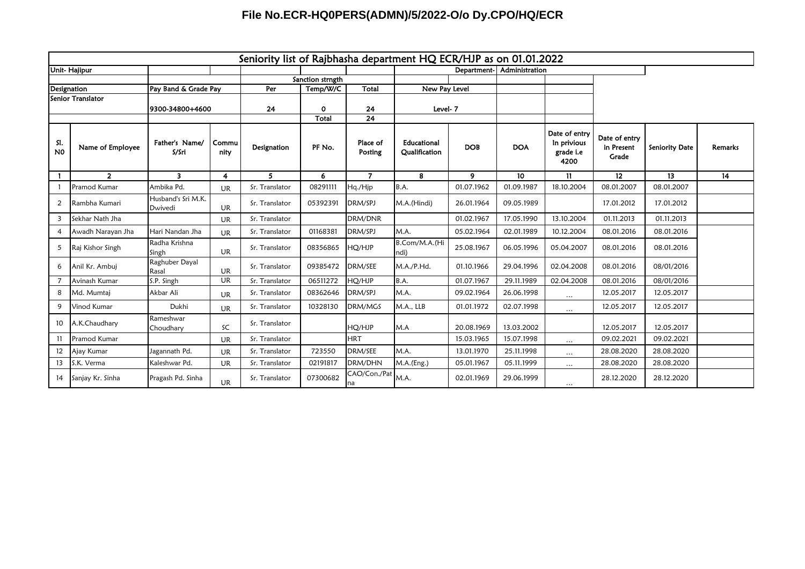## **File No.ECR-HQ0PERS(ADMN)/5/2022-O/o Dy.CPO/HQ/ECR**

|                       | Seniority list of Rajbhasha department HQ ECR/HJP as on 01.01.2022 |                               |               |                  |          |                     |                              |            |                            |                                                   |                                      |                 |         |
|-----------------------|--------------------------------------------------------------------|-------------------------------|---------------|------------------|----------|---------------------|------------------------------|------------|----------------------------|---------------------------------------------------|--------------------------------------|-----------------|---------|
| <b>Unit-Hajipur</b>   |                                                                    |                               |               |                  |          |                     |                              |            | Department- Administration |                                                   |                                      |                 |         |
|                       |                                                                    |                               |               | Sanction strngth |          |                     |                              |            |                            |                                                   |                                      |                 |         |
| Designation           |                                                                    | Pay Band & Grade Pay          |               | Per<br>Temp/W/C  |          | Total               | New Pay Level                |            |                            |                                                   |                                      |                 |         |
| Senior Translator     |                                                                    |                               |               |                  |          |                     |                              |            |                            |                                                   |                                      |                 |         |
|                       |                                                                    | 9300-34800+4600               |               | 24               | 0        | 24                  | Level-7                      |            |                            |                                                   |                                      |                 |         |
|                       |                                                                    |                               |               |                  | Total    | 24                  |                              |            |                            |                                                   |                                      |                 |         |
| SI.<br>N <sub>0</sub> | Name of Employee                                                   | Father's Name/<br>S/Sri       | Commu<br>nity | Designation      | PF No.   | Place of<br>Posting | Educational<br>Qualification | <b>DOB</b> | <b>DOA</b>                 | Date of entry<br>In privious<br>grade i.e<br>4200 | Date of entry<br>in Present<br>Grade | Seniority Date  | Remarks |
|                       | $\overline{2}$                                                     | 3 <sup>1</sup>                | 4             | 5                | 6        | $\overline{7}$      | 8                            | 9          | 10                         | $\mathbf{11}$                                     | 12 <sup>2</sup>                      | 13 <sup>°</sup> | 14      |
|                       | Pramod Kumar                                                       | Ambika Pd.                    | <b>UR</b>     | Sr. Translator   | 08291111 | Hq./Hjp             | B.A.                         | 01.07.1962 | 01.09.1987                 | 18.10.2004                                        | 08.01.2007                           | 08.01.2007      |         |
| 2                     | Rambha Kumari                                                      | Husband's Sri M.K.<br>Dwivedi | <b>UR</b>     | Sr. Translator   | 05392391 | DRM/SPJ             | M.A.(Hindi)                  | 26.01.1964 | 09.05.1989                 |                                                   | 17.01.2012                           | 17.01.2012      |         |
| 3                     | Sekhar Nath Jha                                                    |                               | <b>UR</b>     | Sr. Translator   |          | DRM/DNR             |                              | 01.02.1967 | 17.05.1990                 | 13.10.2004                                        | 01.11.2013                           | 01.11.2013      |         |
| 4                     | Awadh Narayan Jha                                                  | Hari Nandan Jha               | <b>UR</b>     | Sr. Translator   | 01168381 | DRM/SPJ             | M.A.                         | 05.02.1964 | 02.01.1989                 | 10.12.2004                                        | 08.01.2016                           | 08.01.2016      |         |
| 5                     | Raj Kishor Singh                                                   | Radha Krishna<br>Singh        | <b>UR</b>     | Sr. Translator   | 08356865 | HQ/HJP              | B.Com/M.A.(Hi<br>ndi)        | 25.08.1967 | 06.05.1996                 | 05.04.2007                                        | 08.01.2016                           | 08.01.2016      |         |
| 6                     | Anil Kr. Ambuj                                                     | Raghuber Dayal<br>Rasal       | UR            | Sr. Translator   | 09385472 | DRM/SEE             | M.A./P.Hd.                   | 01.10.1966 | 29.04.1996                 | 02.04.2008                                        | 08.01.2016                           | 08/01/2016      |         |
| $\overline{7}$        | Avinash Kumar                                                      | S.P. Singh                    | UR            | Sr. Translator   | 06511272 | HQ/HJP              | B.A.                         | 01.07.1967 | 29.11.1989                 | 02.04.2008                                        | 08.01.2016                           | 08/01/2016      |         |
| 8                     | Md. Mumtaj                                                         | Akbar Ali                     | <b>UR</b>     | Sr. Translator   | 08362646 | DRM/SPJ             | M.A.                         | 09.02.1964 | 26.06.1998                 | $\cdots$                                          | 12.05.2017                           | 12.05.2017      |         |
| 9                     | Vinod Kumar                                                        | Dukhi                         | <b>UR</b>     | Sr. Translator   | 10328130 | <b>DRM/MGS</b>      | M.A., LLB                    | 01.01.1972 | 02.07.1998                 | $\cdots$                                          | 12.05.2017                           | 12.05.2017      |         |
| 10 <sup>°</sup>       | A.K.Chaudhary                                                      | Rameshwar<br>Choudhary        | SC            | Sr. Translator   |          | HQ/HJP              | M.A                          | 20.08.1969 | 13.03.2002                 |                                                   | 12.05.2017                           | 12.05.2017      |         |
| 11                    | Pramod Kumar                                                       |                               | <b>UR</b>     | Sr. Translator   |          | <b>HRT</b>          |                              | 15.03.1965 | 15.07.1998                 | $\cdots$                                          | 09.02.2021                           | 09.02.2021      |         |
| $12 \overline{ }$     | Ajay Kumar                                                         | Jagannath Pd.                 | <b>UR</b>     | Sr. Translator   | 723550   | DRM/SEE             | M.A.                         | 13.01.1970 | 25.11.1998                 | $\cdots$                                          | 28.08.2020                           | 28.08.2020      |         |
| 13                    | S.K. Verma                                                         | Kaleshwar Pd.                 | UR            | Sr. Translator   | 02191817 | DRM/DHN             | M.A.(Eng.)                   | 05.01.1967 | 05.11.1999                 | $\cdots$                                          | 28.08.2020                           | 28.08.2020      |         |
| 14                    | Sanjay Kr. Sinha                                                   | Pragash Pd. Sinha             | <b>UR</b>     | Sr. Translator   | 07300682 | CAO/Con./Pat<br>na  | M.A.                         | 02.01.1969 | 29.06.1999                 | $\cdots$                                          | 28.12.2020                           | 28.12.2020      |         |